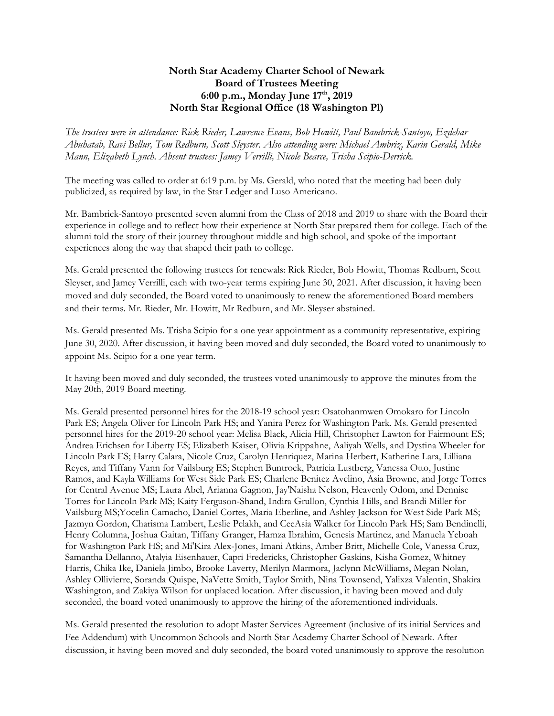## **North Star Academy Charter School of Newark Board of Trustees Meeting 6:00 p.m., Monday June 17th, 2019 North Star Regional Office (18 Washington Pl)**

*The trustees were in attendance: Rick Rieder, Lawrence Evans, Bob Howitt, Paul Bambrick-Santoyo, Ezdehar Abuhatab, Ravi Bellur, Tom Redburn, Scott Sleyster. Also attending were: Michael Ambriz, Karin Gerald, Mike Mann, Elizabeth Lynch. Absent trustees: Jamey Verrilli, Nicole Bearce, Trisha Scipio-Derrick.* 

The meeting was called to order at 6:19 p.m. by Ms. Gerald, who noted that the meeting had been duly publicized, as required by law, in the Star Ledger and Luso Americano.

Mr. Bambrick-Santoyo presented seven alumni from the Class of 2018 and 2019 to share with the Board their experience in college and to reflect how their experience at North Star prepared them for college. Each of the alumni told the story of their journey throughout middle and high school, and spoke of the important experiences along the way that shaped their path to college.

Ms. Gerald presented the following trustees for renewals: Rick Rieder, Bob Howitt, Thomas Redburn, Scott Sleyser, and Jamey Verrilli, each with two-year terms expiring June 30, 2021. After discussion, it having been moved and duly seconded, the Board voted to unanimously to renew the aforementioned Board members and their terms. Mr. Rieder, Mr. Howitt, Mr Redburn, and Mr. Sleyser abstained.

Ms. Gerald presented Ms. Trisha Scipio for a one year appointment as a community representative, expiring June 30, 2020. After discussion, it having been moved and duly seconded, the Board voted to unanimously to appoint Ms. Scipio for a one year term.

It having been moved and duly seconded, the trustees voted unanimously to approve the minutes from the May 20th, 2019 Board meeting.

Ms. Gerald presented personnel hires for the 2018-19 school year: Osatohanmwen Omokaro for Lincoln Park ES; Angela Oliver for Lincoln Park HS; and Yanira Perez for Washington Park. Ms. Gerald presented personnel hires for the 2019-20 school year: Melisa Black, Alicia Hill, Christopher Lawton for Fairmount ES; Andrea Erichsen for Liberty ES; Elizabeth Kaiser, Olivia Krippahne, Aaliyah Wells, and Dystina Wheeler for Lincoln Park ES; Harry Calara, Nicole Cruz, Carolyn Henriquez, Marina Herbert, Katherine Lara, Lilliana Reyes, and Tiffany Vann for Vailsburg ES; Stephen Buntrock, Patricia Lustberg, Vanessa Otto, Justine Ramos, and Kayla Williams for West Side Park ES; Charlene Benitez Avelino, Asia Browne, and Jorge Torres for Central Avenue MS; Laura Abel, Arianna Gagnon, Jay'Naisha Nelson, Heavenly Odom, and Dennise Torres for Lincoln Park MS; Kaity Ferguson-Shand, Indira Grullon, Cynthia Hills, and Brandi Miller for Vailsburg MS;Yocelin Camacho, Daniel Cortes, Maria Eberline, and Ashley Jackson for West Side Park MS; Jazmyn Gordon, Charisma Lambert, Leslie Pelakh, and CeeAsia Walker for Lincoln Park HS; Sam Bendinelli, Henry Columna, Joshua Gaitan, Tiffany Granger, Hamza Ibrahim, Genesis Martinez, and Manuela Yeboah for Washington Park HS; and Mi'Kira Alex-Jones, Imani Atkins, Amber Britt, Michelle Cole, Vanessa Cruz, Samantha Dellanno, Atalyia Eisenhauer, Capri Fredericks, Christopher Gaskins, Kisha Gomez, Whitney Harris, Chika Ike, Daniela Jimbo, Brooke Laverty, Merilyn Marmora, Jaclynn McWilliams, Megan Nolan, Ashley Ollivierre, Soranda Quispe, NaVette Smith, Taylor Smith, Nina Townsend, Yalixza Valentin, Shakira Washington, and Zakiya Wilson for unplaced location. After discussion, it having been moved and duly seconded, the board voted unanimously to approve the hiring of the aforementioned individuals.

Ms. Gerald presented the resolution to adopt Master Services Agreement (inclusive of its initial Services and Fee Addendum) with Uncommon Schools and North Star Academy Charter School of Newark. After discussion, it having been moved and duly seconded, the board voted unanimously to approve the resolution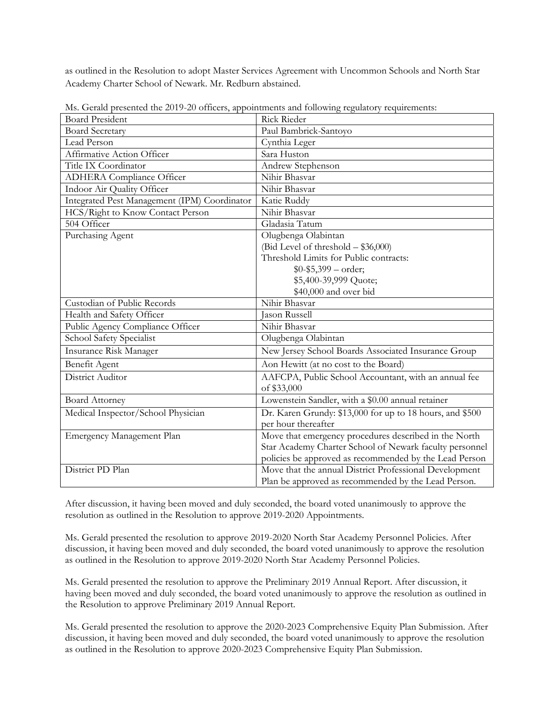as outlined in the Resolution to adopt Master Services Agreement with Uncommon Schools and North Star Academy Charter School of Newark. Mr. Redburn abstained.

| <b>Board President</b>                       | Rick Rieder                                              |
|----------------------------------------------|----------------------------------------------------------|
| <b>Board Secretary</b>                       | Paul Bambrick-Santoyo                                    |
| Lead Person                                  | Cynthia Leger                                            |
| Affirmative Action Officer                   | Sara Huston                                              |
| Title IX Coordinator                         | Andrew Stephenson                                        |
| <b>ADHERA</b> Compliance Officer             | Nihir Bhasvar                                            |
| Indoor Air Quality Officer                   | Nihir Bhasvar                                            |
| Integrated Pest Management (IPM) Coordinator | Katie Ruddy                                              |
| HCS/Right to Know Contact Person             | Nihir Bhasvar                                            |
| 504 Officer                                  | Gladasia Tatum                                           |
| Purchasing Agent                             | Olugbenga Olabintan                                      |
|                                              | (Bid Level of threshold $-$ \$36,000)                    |
|                                              | Threshold Limits for Public contracts:                   |
|                                              | $$0-$5,399-order;$                                       |
|                                              | \$5,400-39,999 Quote;                                    |
|                                              | \$40,000 and over bid                                    |
| Custodian of Public Records                  | Nihir Bhasvar                                            |
| Health and Safety Officer                    | <b>Jason Russell</b>                                     |
| Public Agency Compliance Officer             | Nihir Bhasvar                                            |
| School Safety Specialist                     | Olugbenga Olabintan                                      |
| Insurance Risk Manager                       | New Jersey School Boards Associated Insurance Group      |
| Benefit Agent                                | Aon Hewitt (at no cost to the Board)                     |
| District Auditor                             | AAFCPA, Public School Accountant, with an annual fee     |
|                                              | of \$33,000                                              |
| <b>Board Attorney</b>                        | Lowenstein Sandler, with a \$0.00 annual retainer        |
| Medical Inspector/School Physician           | Dr. Karen Grundy: \$13,000 for up to 18 hours, and \$500 |
|                                              | per hour thereafter                                      |
| Emergency Management Plan                    | Move that emergency procedures described in the North    |
|                                              | Star Academy Charter School of Newark faculty personnel  |
|                                              | policies be approved as recommended by the Lead Person   |
| District PD Plan                             | Move that the annual District Professional Development   |
|                                              | Plan be approved as recommended by the Lead Person.      |

Ms. Gerald presented the 2019-20 officers, appointments and following regulatory requirements:

After discussion, it having been moved and duly seconded, the board voted unanimously to approve the resolution as outlined in the Resolution to approve 2019-2020 Appointments.

Ms. Gerald presented the resolution to approve 2019-2020 North Star Academy Personnel Policies. After discussion, it having been moved and duly seconded, the board voted unanimously to approve the resolution as outlined in the Resolution to approve 2019-2020 North Star Academy Personnel Policies.

Ms. Gerald presented the resolution to approve the Preliminary 2019 Annual Report. After discussion, it having been moved and duly seconded, the board voted unanimously to approve the resolution as outlined in the Resolution to approve Preliminary 2019 Annual Report.

Ms. Gerald presented the resolution to approve the 2020-2023 Comprehensive Equity Plan Submission. After discussion, it having been moved and duly seconded, the board voted unanimously to approve the resolution as outlined in the Resolution to approve 2020-2023 Comprehensive Equity Plan Submission.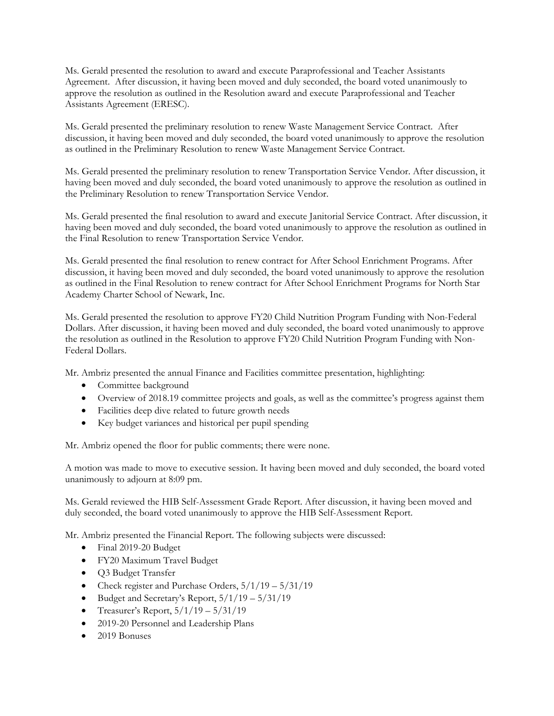Ms. Gerald presented the resolution to award and execute Paraprofessional and Teacher Assistants Agreement. After discussion, it having been moved and duly seconded, the board voted unanimously to approve the resolution as outlined in the Resolution award and execute Paraprofessional and Teacher Assistants Agreement (ERESC).

Ms. Gerald presented the preliminary resolution to renew Waste Management Service Contract. After discussion, it having been moved and duly seconded, the board voted unanimously to approve the resolution as outlined in the Preliminary Resolution to renew Waste Management Service Contract.

Ms. Gerald presented the preliminary resolution to renew Transportation Service Vendor. After discussion, it having been moved and duly seconded, the board voted unanimously to approve the resolution as outlined in the Preliminary Resolution to renew Transportation Service Vendor.

Ms. Gerald presented the final resolution to award and execute Janitorial Service Contract. After discussion, it having been moved and duly seconded, the board voted unanimously to approve the resolution as outlined in the Final Resolution to renew Transportation Service Vendor.

Ms. Gerald presented the final resolution to renew contract for After School Enrichment Programs. After discussion, it having been moved and duly seconded, the board voted unanimously to approve the resolution as outlined in the Final Resolution to renew contract for After School Enrichment Programs for North Star Academy Charter School of Newark, Inc.

Ms. Gerald presented the resolution to approve FY20 Child Nutrition Program Funding with Non-Federal Dollars. After discussion, it having been moved and duly seconded, the board voted unanimously to approve the resolution as outlined in the Resolution to approve FY20 Child Nutrition Program Funding with Non-Federal Dollars.

Mr. Ambriz presented the annual Finance and Facilities committee presentation, highlighting:

- Committee background
- Overview of 2018.19 committee projects and goals, as well as the committee's progress against them
- Facilities deep dive related to future growth needs
- Key budget variances and historical per pupil spending

Mr. Ambriz opened the floor for public comments; there were none.

A motion was made to move to executive session. It having been moved and duly seconded, the board voted unanimously to adjourn at 8:09 pm.

Ms. Gerald reviewed the HIB Self-Assessment Grade Report. After discussion, it having been moved and duly seconded, the board voted unanimously to approve the HIB Self-Assessment Report.

Mr. Ambriz presented the Financial Report. The following subjects were discussed:

- Final 2019-20 Budget
- FY20 Maximum Travel Budget
- O3 Budget Transfer
- Check register and Purchase Orders,  $5/1/19 5/31/19$
- $\bullet$  Budget and Secretary's Report,  $5/1/19 5/31/19$
- Treasurer's Report,  $5/1/19 5/31/19$
- 2019-20 Personnel and Leadership Plans
- 2019 Bonuses